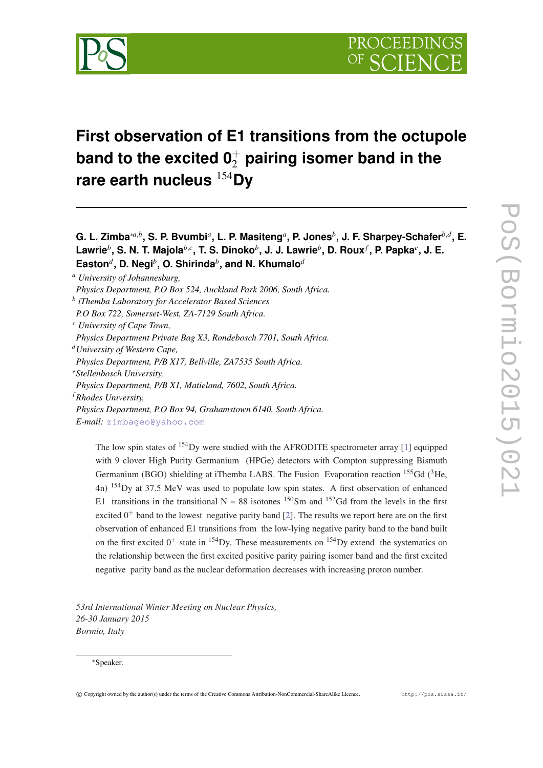

# **First observation of E1 transitions from the octupole** band to the excited 0 $_2^+$  pairing isomer band in the **rare earth nucleus** <sup>154</sup>**Dy**

**G. L. Zimba**∗*a*,*<sup>b</sup>* **, S. P. Bvumbi***<sup>a</sup>* **, L. P. Masiteng***<sup>a</sup>* **, P. Jones***<sup>b</sup>* **, J. F. Sharpey-Schafer***b*,*<sup>d</sup>* **, E. Lawrie***<sup>b</sup>* **, S. N. T. Majola***b*,*<sup>c</sup>* **, T. S. Dinoko***<sup>b</sup>* **, J. J. Lawrie***<sup>b</sup>* **, D. Roux***<sup>f</sup>* **, P. Papka***<sup>e</sup>* **, J. E. Easton***<sup>d</sup>* **, D. Negi***<sup>b</sup>* **, O. Shirinda***<sup>b</sup>* **, and N. Khumalo***<sup>d</sup>*

*<sup>a</sup> University of Johannesburg,*

*Physics Department, P.O Box 524, Auckland Park 2006, South Africa.*

*b iThemba Laboratory for Accelerator Based Sciences*

*P.O Box 722, Somerset-West, ZA-7129 South Africa.*

*<sup>c</sup> University of Cape Town,*

*Physics Department Private Bag X3, Rondebosch 7701, South Africa.*

*<sup>d</sup>University of Western Cape,*

*Physics Department, P/B X17, Bellville, ZA7535 South Africa.*

*<sup>e</sup>Stellenbosch University,*

*Physics Department, P/B X1, Matieland, 7602, South Africa.*

*<sup>f</sup> Rhodes University,*

*Physics Department, P.O Box 94, Grahamstown 6140, South Africa.*

*E-mail:* [zimbageo@yahoo.com](mailto:zimbageo@yahoo.com)

The low spin states of <sup>154</sup>Dy were studied with the AFRODITE spectrometer array [[1\]](#page-5-0) equipped with 9 clover High Purity Germanium (HPGe) detectors with Compton suppressing Bismuth Germanium (BGO) shielding at iThemba LABS. The Fusion Evaporation reaction <sup>155</sup>Gd (<sup>3</sup>He, 4n) <sup>154</sup>Dy at 37.5 MeV was used to populate low spin states. A first observation of enhanced E1 transitions in the transitional  $N = 88$  isotones <sup>150</sup>Sm and <sup>152</sup>Gd from the levels in the first excited  $0^+$  band to the lowest negative parity band [\[2](#page-5-0)]. The results we report here are on the first observation of enhanced E1 transitions from the low-lying negative parity band to the band built on the first excited  $0^+$  state in <sup>154</sup>Dy. These measurements on <sup>154</sup>Dy extend the systematics on the relationship between the first excited positive parity pairing isomer band and the first excited negative parity band as the nuclear deformation decreases with increasing proton number.

*<sup>53</sup>rd International Winter Meeting on Nuclear Physics, 26-30 January 2015 Bormio, Italy*

<sup>∗</sup>Speaker.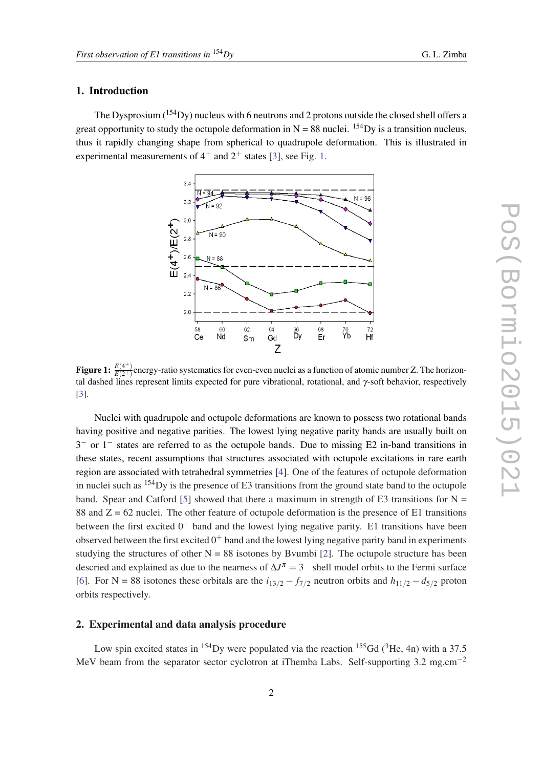## 1. Introduction

The Dysprosium  $(^{154}Dy)$  nucleus with 6 neutrons and 2 protons outside the closed shell offers a great opportunity to study the octupole deformation in  $N = 88$  nuclei. <sup>154</sup>Dy is a transition nucleus, thus it rapidly changing shape from spherical to quadrupole deformation. This is illustrated in experimental measurements of  $4^+$  and  $2^+$  states [[3](#page-5-0)], see Fig. 1.



**Figure 1:**  $\frac{E(4^+)}{E(2^+)}$  $\frac{E(4+)}{E(2+)}$ energy-ratio systematics for even-even nuclei as a function of atomic number Z. The horizontal dashed lines represent limits expected for pure vibrational, rotational, and γ-soft behavior, respectively [[3\]](#page-5-0).

Nuclei with quadrupole and octupole deformations are known to possess two rotational bands having positive and negative parities. The lowest lying negative parity bands are usually built on 3 <sup>−</sup> or 1<sup>−</sup> states are referred to as the octupole bands. Due to missing E2 in-band transitions in these states, recent assumptions that structures associated with octupole excitations in rare earth region are associated with tetrahedral symmetries [\[4\]](#page-5-0). One of the features of octupole deformation in nuclei such as  $154$  Dy is the presence of E3 transitions from the ground state band to the octupole band. Spear and Catford [[5](#page-5-0)] showed that there a maximum in strength of E3 transitions for  $N =$ 88 and  $Z = 62$  nuclei. The other feature of octupole deformation is the presence of E1 transitions between the first excited  $0^+$  band and the lowest lying negative parity. E1 transitions have been observed between the first excited  $0^+$  band and the lowest lying negative parity band in experiments studying the structures of other  $N = 88$  isotones by Bvumbi [\[2\]](#page-5-0). The octupole structure has been descried and explained as due to the nearness of  $\Delta J^{\pi} = 3^{-}$  shell model orbits to the Fermi surface [[6](#page-5-0)]. For N = 88 isotones these orbitals are the  $i_{13/2} - f_{7/2}$  neutron orbits and  $h_{11/2} - d_{5/2}$  proton orbits respectively.

### 2. Experimental and data analysis procedure

Low spin excited states in <sup>154</sup>Dy were populated via the reaction <sup>155</sup>Gd (<sup>3</sup>He, 4n) with a 37.5 MeV beam from the separator sector cyclotron at iThemba Labs. Self-supporting 3.2 mg.cm−<sup>2</sup>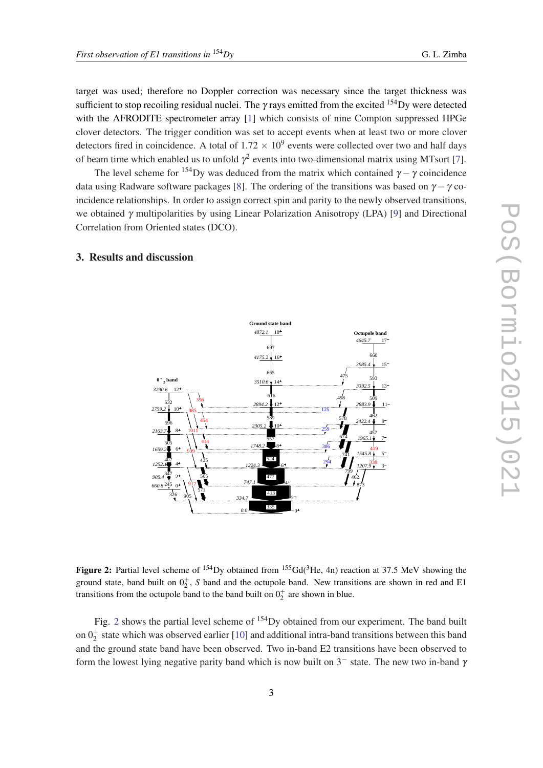target was used; therefore no Doppler correction was necessary since the target thickness was sufficient to stop recoiling residual nuclei. The  $\gamma$  rays emitted from the excited  $^{154}$ Dy were detected with the AFRODITE spectrometer array [\[1\]](#page-5-0) which consists of nine Compton suppressed HPGe clover detectors. The trigger condition was set to accept events when at least two or more clover detectors fired in coincidence. A total of  $1.72 \times 10^9$  events were collected over two and half days of beam time which enabled us to unfold  $\gamma^2$  events into two-dimensional matrix using MTsort [[7](#page-5-0)].

The level scheme for <sup>154</sup>Dy was deduced from the matrix which contained  $\gamma - \gamma$  coincidence data using Radware software packages [\[8\]](#page-5-0). The ordering of the transitions was based on  $\gamma - \gamma$  coincidence relationships. In order to assign correct spin and parity to the newly observed transitions, we obtained γ multipolarities by using Linear Polarization Anisotropy (LPA) [\[9\]](#page-5-0) and Directional Correlation from Oriented states (DCO).

### 3. Results and discussion



Figure 2: Partial level scheme of <sup>154</sup>Dy obtained from <sup>155</sup>Gd(<sup>3</sup>He, 4n) reaction at 37.5 MeV showing the ground state, band built on  $0^+_2$ , S band and the octupole band. New transitions are shown in red and E1 transitions from the octupole band to the band built on  $0^+_2$  are shown in blue.

Fig. 2 shows the partial level scheme of <sup>154</sup>Dy obtained from our experiment. The band built on  $0_2^+$  state which was observed earlier [[10](#page-5-0)] and additional intra-band transitions between this band and the ground state band have been observed. Two in-band E2 transitions have been observed to form the lowest lying negative parity band which is now built on  $3^-$  state. The new two in-band  $\gamma$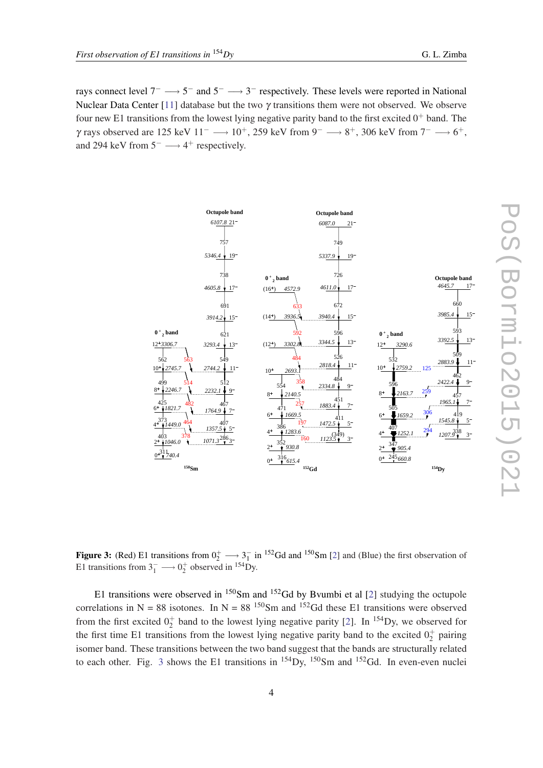<span id="page-3-0"></span>rays connect level  $7^- \longrightarrow 5^-$  and  $5^- \longrightarrow 3^-$  respectively. These levels were reported in National Nuclear Data Center [\[11](#page-5-0)] database but the two  $\gamma$  transitions them were not observed. We observe four new E1 transitions from the lowest lying negative parity band to the first excited  $0^+$  band. The  $γ$  rays observed are 125 keV 11<sup>-</sup> → 10<sup>+</sup>, 259 keV from 9<sup>-</sup> → 8<sup>+</sup>, 306 keV from 7<sup>-</sup> → 6<sup>+</sup>, and 294 keV from  $5^- \longrightarrow 4^+$  respectively.



**Figure 3:** (Red) E1 transitions from  $0^+_2 \longrightarrow 3^-_1$  in <sup>152</sup>Gd and <sup>150</sup>Sm [[2\]](#page-5-0) and (Blue) the first observation of E1 transitions from  $3_1^- \longrightarrow 0_2^+$  observed in <sup>154</sup>Dy.

E1 transitions were observed in Sm and  $152$ Gd by Bvumbi et al [\[2\]](#page-5-0) studying the octupole correlations in N = 88 isotones. In N = 88  $\frac{150}{Sm}$  and  $\frac{152}{Gd}$  these E1 transitions were observed from the first excited  $0^+_2$  $0^+_2$  band to the lowest lying negative parity [2]. In <sup>154</sup>Dy, we observed for the first time E1 transitions from the lowest lying negative parity band to the excited  $0^+_2$  pairing isomer band. These transitions between the two band suggest that the bands are structurally related to each other. Fig. 3 shows the E1 transitions in  $^{154}$ Dy,  $^{150}$ Sm and  $^{152}$ Gd. In even-even nuclei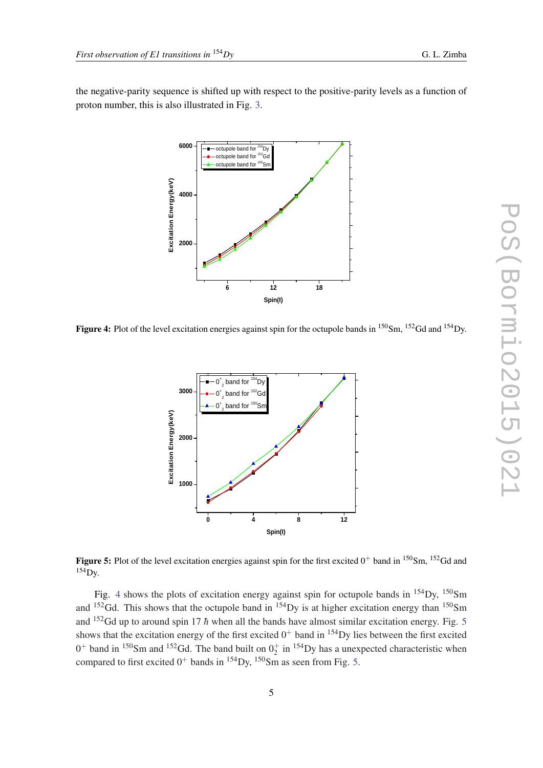<span id="page-4-0"></span>the negative-parity sequence is shifted up with respect to the positive-parity levels as a function of proton number, this is also illustrated in Fig. [3](#page-3-0).



Figure 4: Plot of the level excitation energies against spin for the octupole bands in <sup>150</sup>Sm, <sup>152</sup>Gd and <sup>154</sup>Dy.



**Figure 5:** Plot of the level excitation energies against spin for the first excited  $0^+$  band in  $150$ Sm,  $152$ Gd and  $154$  Dy.

Fig. 4 shows the plots of excitation energy against spin for octupole bands in  $^{154}$ Dy,  $^{150}$ Sm and  $152$  Gd. This shows that the octupole band in  $154$  Dy is at higher excitation energy than  $150$  Sm and <sup>152</sup>Gd up to around spin 17  $\hbar$  when all the bands have almost similar excitation energy. Fig. 5 shows that the excitation energy of the first excited  $0^+$  band in  $154$  Dy lies between the first excited  $0^+$  band in <sup>150</sup>Sm and <sup>152</sup>Gd. The band built on  $0^+_2$  in <sup>154</sup>Dy has a unexpected characteristic when compared to first excited  $0^+$  bands in <sup>154</sup>Dy, <sup>150</sup>Sm as seen from Fig. 5.